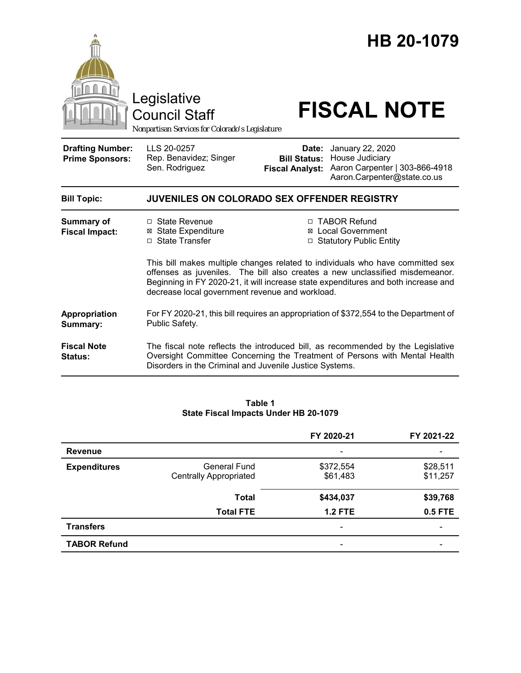

#### **Table 1 State Fiscal Impacts Under HB 20-1079**

|                     |                               | FY 2020-21               | FY 2021-22                   |
|---------------------|-------------------------------|--------------------------|------------------------------|
| <b>Revenue</b>      |                               | ۰                        |                              |
| <b>Expenditures</b> | General Fund                  | \$372,554                | \$28,511                     |
|                     | <b>Centrally Appropriated</b> | \$61,483                 | \$11,257                     |
|                     | <b>Total</b>                  | \$434,037                | \$39,768                     |
|                     | <b>Total FTE</b>              | <b>1.2 FTE</b>           | 0.5 FTE                      |
| <b>Transfers</b>    |                               | $\overline{\phantom{a}}$ | $\qquad \qquad \blacksquare$ |
| <b>TABOR Refund</b> |                               | -                        |                              |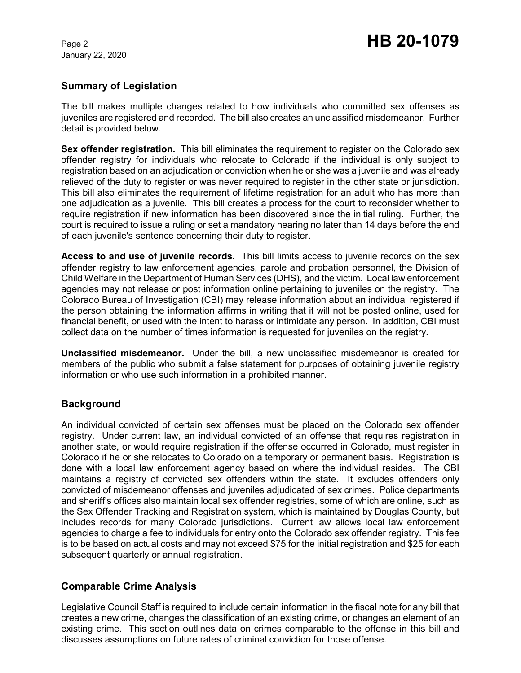## **Summary of Legislation**

The bill makes multiple changes related to how individuals who committed sex offenses as juveniles are registered and recorded. The bill also creates an unclassified misdemeanor. Further detail is provided below.

**Sex offender registration.** This bill eliminates the requirement to register on the Colorado sex offender registry for individuals who relocate to Colorado if the individual is only subject to registration based on an adjudication or conviction when he or she was a juvenile and was already relieved of the duty to register or was never required to register in the other state or jurisdiction. This bill also eliminates the requirement of lifetime registration for an adult who has more than one adjudication as a juvenile. This bill creates a process for the court to reconsider whether to require registration if new information has been discovered since the initial ruling. Further, the court is required to issue a ruling or set a mandatory hearing no later than 14 days before the end of each juvenile's sentence concerning their duty to register.

**Access to and use of juvenile records.** This bill limits access to juvenile records on the sex offender registry to law enforcement agencies, parole and probation personnel, the Division of Child Welfare in the Department of Human Services (DHS), and the victim. Local law enforcement agencies may not release or post information online pertaining to juveniles on the registry. The Colorado Bureau of Investigation (CBI) may release information about an individual registered if the person obtaining the information affirms in writing that it will not be posted online, used for financial benefit, or used with the intent to harass or intimidate any person. In addition, CBI must collect data on the number of times information is requested for juveniles on the registry.

**Unclassified misdemeanor.** Under the bill, a new unclassified misdemeanor is created for members of the public who submit a false statement for purposes of obtaining juvenile registry information or who use such information in a prohibited manner.

## **Background**

An individual convicted of certain sex offenses must be placed on the Colorado sex offender registry. Under current law, an individual convicted of an offense that requires registration in another state, or would require registration if the offense occurred in Colorado, must register in Colorado if he or she relocates to Colorado on a temporary or permanent basis. Registration is done with a local law enforcement agency based on where the individual resides. The CBI maintains a registry of convicted sex offenders within the state. It excludes offenders only convicted of misdemeanor offenses and juveniles adjudicated of sex crimes. Police departments and sheriff's offices also maintain local sex offender registries, some of which are online, such as the Sex Offender Tracking and Registration system, which is maintained by Douglas County, but includes records for many Colorado jurisdictions. Current law allows local law enforcement agencies to charge a fee to individuals for entry onto the Colorado sex offender registry. This fee is to be based on actual costs and may not exceed \$75 for the initial registration and \$25 for each subsequent quarterly or annual registration.

## **Comparable Crime Analysis**

Legislative Council Staff is required to include certain information in the fiscal note for any bill that creates a new crime, changes the classification of an existing crime, or changes an element of an existing crime. This section outlines data on crimes comparable to the offense in this bill and discusses assumptions on future rates of criminal conviction for those offense.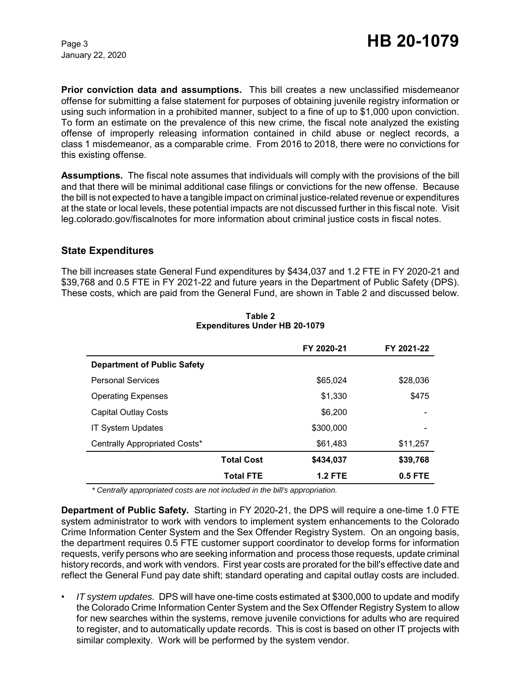**Prior conviction data and assumptions.** This bill creates a new unclassified misdemeanor offense for submitting a false statement for purposes of obtaining juvenile registry information or using such information in a prohibited manner, subject to a fine of up to \$1,000 upon conviction. To form an estimate on the prevalence of this new crime, the fiscal note analyzed the existing offense of improperly releasing information contained in child abuse or neglect records, a class 1 misdemeanor, as a comparable crime. From 2016 to 2018, there were no convictions for this existing offense.

**Assumptions.** The fiscal note assumes that individuals will comply with the provisions of the bill and that there will be minimal additional case filings or convictions for the new offense. Because the bill is not expected to have a tangible impact on criminal justice-related revenue or expenditures at the state or local levels, these potential impacts are not discussed further in this fiscal note. Visit leg.colorado.gov/fiscalnotes for more information about criminal justice costs in fiscal notes.

## **State Expenditures**

The bill increases state General Fund expenditures by \$434,037 and 1.2 FTE in FY 2020-21 and \$39,768 and 0.5 FTE in FY 2021-22 and future years in the Department of Public Safety (DPS). These costs, which are paid from the General Fund, are shown in Table 2 and discussed below.

|                                    |                   | FY 2020-21     | FY 2021-22 |
|------------------------------------|-------------------|----------------|------------|
| <b>Department of Public Safety</b> |                   |                |            |
| <b>Personal Services</b>           |                   | \$65,024       | \$28,036   |
| <b>Operating Expenses</b>          |                   | \$1,330        | \$475      |
| <b>Capital Outlay Costs</b>        |                   | \$6,200        | -          |
| <b>IT System Updates</b>           |                   | \$300,000      | -          |
| Centrally Appropriated Costs*      |                   | \$61,483       | \$11,257   |
|                                    | <b>Total Cost</b> | \$434,037      | \$39,768   |
|                                    | <b>Total FTE</b>  | <b>1.2 FTE</b> | 0.5 FTE    |

#### **Table 2 Expenditures Under HB 20-1079**

*\* Centrally appropriated costs are not included in the bill's appropriation.*

**Department of Public Safety.** Starting in FY 2020-21, the DPS will require a one-time 1.0 FTE system administrator to work with vendors to implement system enhancements to the Colorado Crime Information Center System and the Sex Offender Registry System. On an ongoing basis, the department requires 0.5 FTE customer support coordinator to develop forms for information requests, verify persons who are seeking information and process those requests, update criminal history records, and work with vendors. First year costs are prorated for the bill's effective date and reflect the General Fund pay date shift; standard operating and capital outlay costs are included.

• *IT system updates.* DPS will have one-time costs estimated at \$300,000 to update and modify the Colorado Crime Information Center System and the Sex Offender Registry System to allow for new searches within the systems, remove juvenile convictions for adults who are required to register, and to automatically update records. This is cost is based on other IT projects with similar complexity. Work will be performed by the system vendor.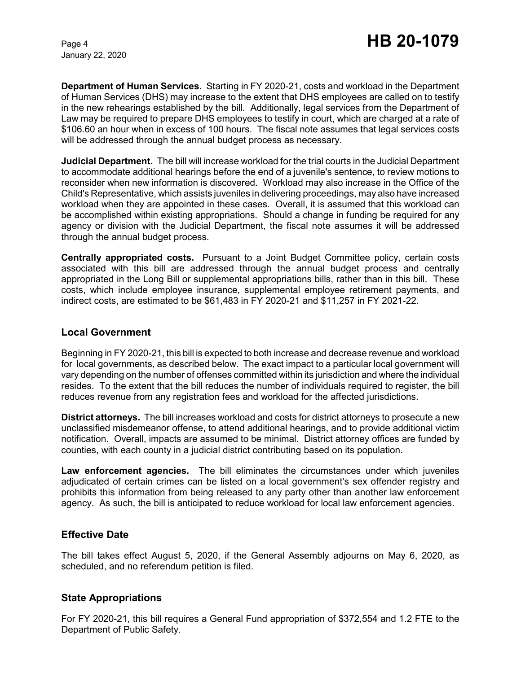**Department of Human Services.** Starting in FY 2020-21, costs and workload in the Department of Human Services (DHS) may increase to the extent that DHS employees are called on to testify in the new rehearings established by the bill. Additionally, legal services from the Department of Law may be required to prepare DHS employees to testify in court, which are charged at a rate of \$106.60 an hour when in excess of 100 hours. The fiscal note assumes that legal services costs will be addressed through the annual budget process as necessary.

**Judicial Department.** The bill will increase workload for the trial courts in the Judicial Department to accommodate additional hearings before the end of a juvenile's sentence, to review motions to reconsider when new information is discovered. Workload may also increase in the Office of the Child's Representative, which assists juveniles in delivering proceedings, may also have increased workload when they are appointed in these cases. Overall, it is assumed that this workload can be accomplished within existing appropriations. Should a change in funding be required for any agency or division with the Judicial Department, the fiscal note assumes it will be addressed through the annual budget process.

**Centrally appropriated costs.** Pursuant to a Joint Budget Committee policy, certain costs associated with this bill are addressed through the annual budget process and centrally appropriated in the Long Bill or supplemental appropriations bills, rather than in this bill. These costs, which include employee insurance, supplemental employee retirement payments, and indirect costs, are estimated to be \$61,483 in FY 2020-21 and \$11,257 in FY 2021-22.

#### **Local Government**

Beginning in FY 2020-21, this bill is expected to both increase and decrease revenue and workload for local governments, as described below. The exact impact to a particular local government will vary depending on the number of offenses committed within its jurisdiction and where the individual resides. To the extent that the bill reduces the number of individuals required to register, the bill reduces revenue from any registration fees and workload for the affected jurisdictions.

**District attorneys.** The bill increases workload and costs for district attorneys to prosecute a new unclassified misdemeanor offense, to attend additional hearings, and to provide additional victim notification. Overall, impacts are assumed to be minimal. District attorney offices are funded by counties, with each county in a judicial district contributing based on its population.

**Law enforcement agencies.** The bill eliminates the circumstances under which juveniles adjudicated of certain crimes can be listed on a local government's sex offender registry and prohibits this information from being released to any party other than another law enforcement agency. As such, the bill is anticipated to reduce workload for local law enforcement agencies.

## **Effective Date**

The bill takes effect August 5, 2020, if the General Assembly adjourns on May 6, 2020, as scheduled, and no referendum petition is filed.

## **State Appropriations**

For FY 2020-21, this bill requires a General Fund appropriation of \$372,554 and 1.2 FTE to the Department of Public Safety.